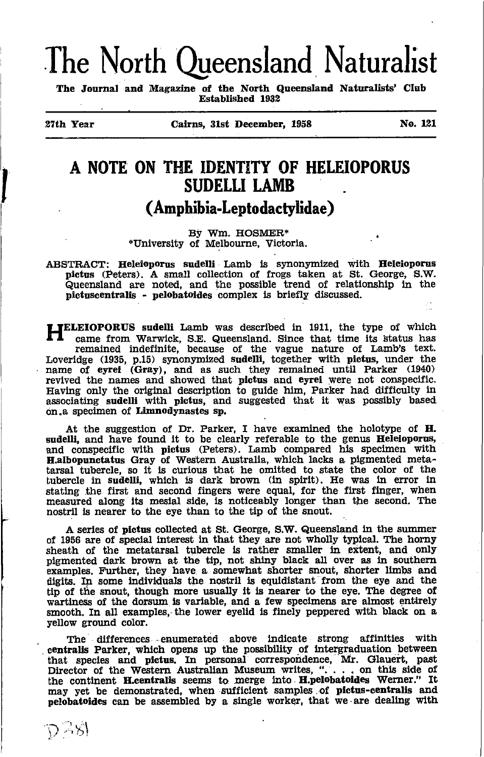# The North Queensland Naturalist

The Journal and Magazine of the North Queensland Naturalists' Club **Established 1932** 

27th Year

ひっぷ

Cairns, 31st December, 1958

No. 121

## A NOTE ON THE IDENTITY OF HELEIOPORUS **SUDELLI LAMB** (Amphibia-Leptodactylidae)

By Wm. HOSMER\* \*University of Melbourne, Victoria.

ABSTRACT: Heleioporus sudelli Lamb is synonymized with Heleioporus pictus (Peters). A small collection of frogs taken at St. George, S.W. Queensland are noted, and the possible trend of relationship in the pictuscentralis - pelobatoides complex is briefly discussed.

**TELEIOPORUS** sudelli Lamb was described in 1911, the type of which **EXERUPORUS SUGATE LATER WAS GESCHIEF IN THE UPPE OF WHICH Care from Warwick, S.E. Queensland. Since that time its status has remained indefinite, because of the vague nature of Lamb's text. Loveridge (1935, p.15) synonymi** associating sudelli with pictus, and suggested that it was possibly based on a specimen of Limnodynastes sp.

At the suggestion of Dr. Parker, I have examined the holotype of H. sudelli, and have found it to be clearly referable to the genus Heleioporus, and conspecific with pictus (Peters). Lamb compared his specimen with and conspicute what process of the main complete a pigmented meta-<br>tarsal tubercle, so it is curious that he omitted to state the color of the<br>tubercle in sudelli, which is dark brown (in spirit). He was in error in<br>statin measured along its mesial side, is noticeably longer than the second. The nostril is nearer to the eye than to the tip of the snout.

A series of pictus collected at St. George, S.W. Queensland in the summer of 1956 are of special interest in that they are not wholly typical. The horny<br>sheath of the metatarsal tubercle is rather smaller in extent, and only<br>pigmented dark brown at the tip, not shiny black all over as in souther examples. Further, they have a somewhat shorter snout, shorter limbs and digits. In some individuals the nostril is equidistant from the eye and the tip of the snout, though more usually it is nearer to the eye. The degree of wartiness of the dorsum is variable, and a few specimens are almost entirely smooth. In all examples, the lower eyelid is finely peppered with black on a vellow ground color.

The differences enumerated above indicate strong affinities with centralis Parker, which opens up the possibility of intergraduation between that species and pictus. In personal correspondence, Mr. Glauert, past Director of the Western Australian Museum writes, ". . . . on this side of the continent H.centralis seems to merge into H.pelobatoides Werner." It may yet be demonstrated, when sufficient samples of pictus-centralis and pelobatoides can be assembled by a single worker, that we are dealing with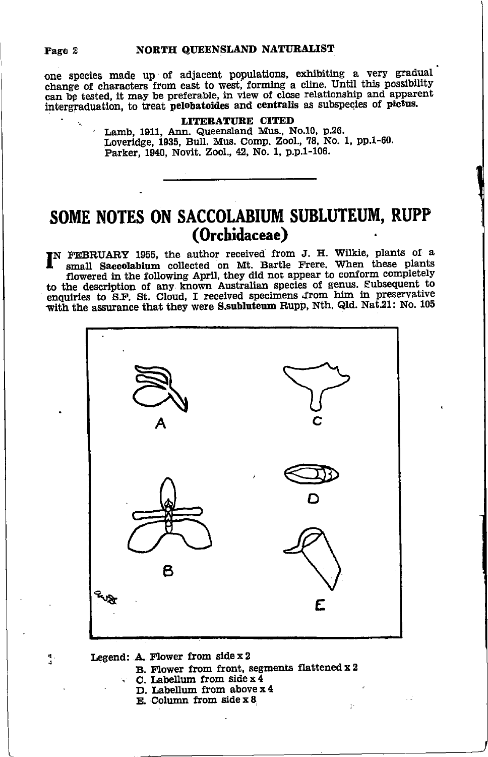Page 2

one species made up of adjacent populations, exhibiting a very gradual change of characters from east to west, forming a cline. Until this possibility can be tested, it may be preferable, in view of close relationship and apparent intergraduation, to treat pelobatoides and centralis as subspecies of pictus.

**LITERATURE CITED**<br>Lamb, 1911, Ann. Queensland Mus., No.10, p.26.<br>Loveridge, 1935, Bull. Mus. Comp. Zool., 78, No. 1, pp.1-60. Parker, 1940, Novit. Zool., 42, No. 1, p.p.1-106.

## SOME NOTES ON SACCOLABIUM SUBLUTEUM, RUPP (Orchidaceae)

IN FEBRUARY 1955, the author received from J. H. Wilkie, plants of a small Saccolabium collected on Mt. Bartle Frere. When these plants flowered in the following April, they did not appear to conform completely to the description of any known Australian species of genus. Subsequent to enquiries to S.F. St. Cloud, I received specimens from him in preservative with the assurance that they were S.subluteum Rupp, Nth. Qld. Nat.21: No. 105



 $\frac{\pi}{4}$  .

B. Flower from front, segments flattened x 2 C. Labellum from side  $x \overline{4}$ 

 $\mathfrak{g}$  .

- D. Labellum from above x 4
- E. Column from side  $x 8$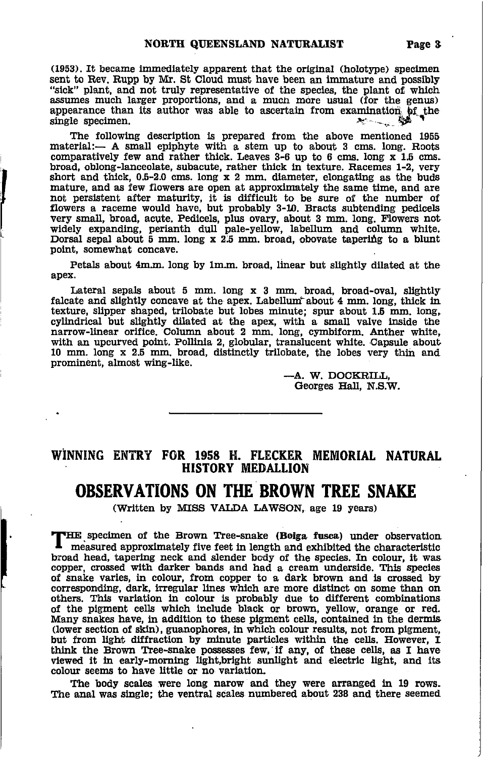(1953). It became immediately apparent that the original (holotype) specimen sent to Rev. Rupp by Mr. St Cloud must have been an immature and possibly "sick" plant, and not truly representative of the species, the plant of which assumes much larger proportions, and a much more usual (for the genus) appearance than its author was able to ascertain from examination of the single specimen. 2000 - 200

The following description is prepared from the above mentioned 1955 material:- A small epiphyte with a stem up to about 3 cms. long. Roots comparatively few and rather thick. Leaves 3-6 up to 6 cms. long x 1.5 cms. broad, oblong-lanceolate, subacute, rather thick in texture. Racemes 1-2, very short and thick,  $0.5-2.0$  cms. long  $x$  2 mm. diameter, elongating as the buds mature, and as few flowers are open at approximately the same time, and are not persistent after maturity, it is difficult to be sure of the number of flowers a raceme would have, but probably 3-10. Bracts subtending pedicels very small, broad, acute. Pedicels, plus ovary, about 3 mm. long. Flowers not widely expanding, perianth dull pale-yellow, labellum and column white.<br>Dorsal sepal about 5 mm. long x 2.5 mm. broad, obovate tapering to a blunt point, somewhat concave.

Petals about 4m.m. long by 1m.m. broad, linear but slightly dilated at the apex.

Lateral sepals about 5 mm. long x 3 mm. broad, broad-oval, slightly falcate and slightly concave at the apex. Labellum about 4 mm. long, thick in texture, slipper shaped, trilobate but lobes minute; spur about 1.5 mm. long, cylindrical but slightly dilated at the apex, with a small valve inside the narrow-linear orifice. Column about 2 mm. long, cymbiform. Anther white, with an upcurved point. Pollinia 2, globular, translucent white. Capsule about 10 mm, long x 2.5 mm, broad, distinctly trilobate, the lobes very thin and prominent, almost wing-like.

> -A. W. DOCKRILL, Georges Hall, N.S.W.

#### WINNING ENTRY FOR 1958 H. FLECKER MEMORIAL NATURAL **HISTORY MEDALLION**

#### **OBSERVATIONS ON THE BROWN TREE SNAKE**

(Written by MISS VALDA LAWSON, age 19 years)

THE specimen of the Brown Tree-snake (Boiga fusca) under observation measured approximately five feet in length and exhibited the characteristic broad head, tapering neck and slender body of the species. In colour, it was copper, crossed with darker bands and had a cream underside. This species of snake varies, in colour, from copper to a dark brown and is crossed by corresponding, dark, irregular lines which are more distinct on some than on others. This variation in colour is probably due to different combinations of the pigment cells which include black or brown, yellow, orange or red. Many snakes have, in addition to these pigment cells, contained in the dermis (lower section of skin), guanophores, in which colour results, not from pigment, but from light diffraction by minute particles within the cells. However, I think the Brown Tree-snake possesses few, if any, of these cells, as I have viewed it in early-morning light, bright sunlight and electric light, and its colour seems to have little or no variation.

The body scales were long narow and they were arranged in 19 rows. The anal was single; the ventral scales numbered about 238 and there seemed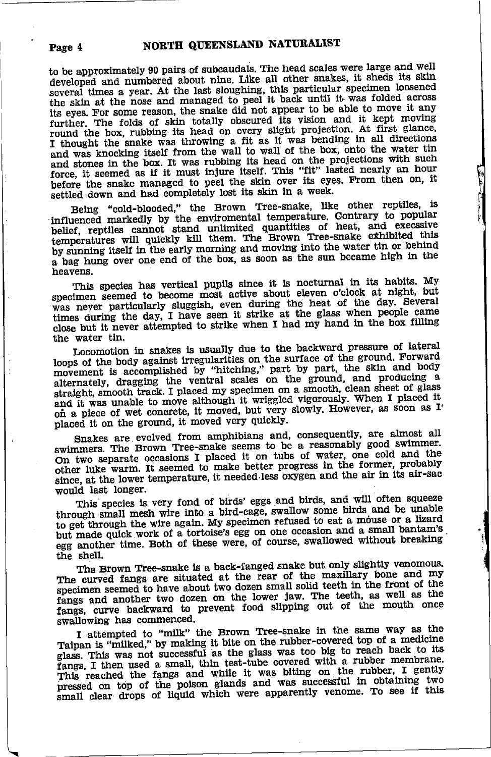to be approximately 90 pairs of subcaudals. The head scales were large and well developed and numbered about nine. Like all other snakes, it sheds its skin several times a year. At the last sloughing, this particular specimen loosened the skin at the nose and managed to peel it back until it was folded across its eves. For some reason, the snake did not appear to be able to move it any further. The folds of skin totally obscured its vision and it kept moving<br>round the box, rubbing its head on every slight projection. At first glance, I thought the snake was throwing a fit as it was bending in all directions and was knocking itself from the wall to wall of the box, onto the water tin and stones in the box. It was rubbing its head on the projections with such force, it seemed as if it must injure itself. This "fit" lasted nearly an hour before the snake managed to peel the skin over its eyes. From then on, it settled down and had completely lost its skin in a week.

Being "cold-blooded," the Brown Tree-snake, like other reptiles, is influenced markedly by the enviromental temperature. Contrary to popular belief, reptiles cannot stand unlimited quantities of heat, and execssive temperatures will quickly kill them. The Brown Tree-snake exhibited this by sunning itself in the early morning and moving into the water tin or behind a bag hung over one end of the box, as soon as the sun became high in the heavens.

This species has vertical pupils since it is nocturnal in its habits. My specimen seemed to become most active about eleven o'clock at night, but was never particularly sluggish, even during the heat of the day. Several times during the day, I have seen it strike at the glass when people came close but it never attempted to strike when I had my hand in the box filling the water tin.

Locomotion in snakes is usually due to the backward pressure of lateral hotomomon in sheaves is would be the surface of the ground. Forward movement is accomplished by "hitching," part by part, the skin and body alternately, dragging the ventral scales on the ground, and producing a straight, smooth track. I placed my specimen on a smooth, clean sheet of glass and it was unable to move although it wriggled vigorously. When I placed it on a piece of wet concrete, it moved, but very slowly. However, as soon as I' placed it on the ground, it moved very quickly.

Snakes are evolved from amphibians and, consequently, are almost all swimmers. The Brown Tree-snake seems to be a reasonably good swimmer. On two separate occasions I placed it on tubs of water, one cold and the other luke warm. It seemed to make better progress in the former, probably since, at the lower temperature, it needed less oxygen and the air in its air-sac would last longer.

This species is very fond of birds' eggs and birds, and will often squeeze through small mesh wire into a bird-cage, swallow some birds and be unable to get through the wire again. My specimen refused to eat a mouse or a lizard but made quick work of a tortoise's egg on one occasion and a small bantam's egg another time. Both of these were, of course, swallowed without breaking the shell.

The Brown Tree-snake is a back-fanged snake but only slightly venomous. The curved fangs are situated at the rear of the maxillary bone and my specimen seemed to have about two dozen small solid teeth in the front of the fangs and another two dozen on the lower jaw. The teeth, as well as the fangs, curve backward to prevent food slipping out of the mouth once swallowing has commenced.

I attempted to "milk" the Brown Tree-snake in the same way as the Taipan is "milked," by making it bite on the rubber-covered top of a medicine glass. This was not successful as the glass was too big to reach back to its fangs. I then used a small, thin test-tube covered with a rubber membrane. This reached the fangs and while it was biting on the rubber, I gently pressed on top of the poison glands and was successful in obtaining two small clear drops of liquid which were apparently venome. To see if this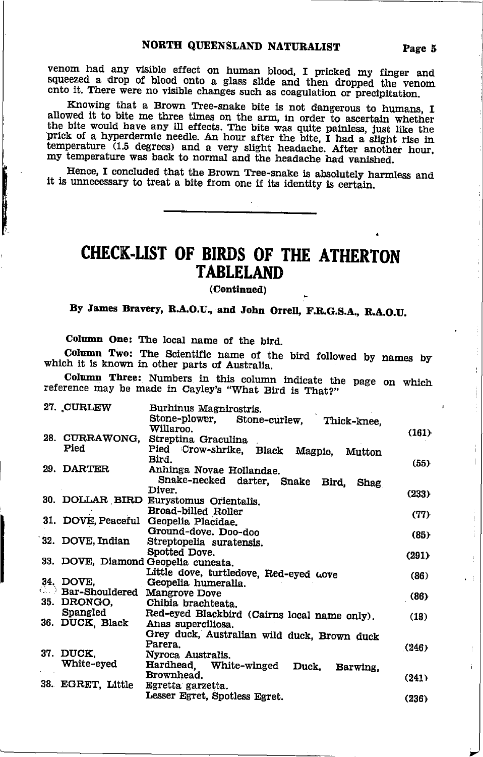venom had any visible effect on human blood, I pricked my finger and squeezed a drop of blood onto a glass slide and then dropped the venom onto it. There were no visible changes such as coagulation or precipitation.

Knowing that a Brown Tree-snake bite is not dangerous to humans, I allowed it to bite me three times on the arm, in order to ascertain whether the bite would have any ill effects. The bite was quite painless, just like the prick of a hyperdermic needle. An hour after the bite, I had a slight rise in temperature (1.5 degrees) and a very slight headache. After another hour, my temperature was back to normal and the headache had vanished.

Hence, I concluded that the Brown Tree-snake is absolutely harmless and it is unnecessary to treat a bite from one if its identity is certain.

# CHECK-LIST OF BIRDS OF THE ATHERTON **TABLELAND**

(Continued)

By James Bravery, R.A.O.U., and John Orrell, F.R.G.S.A., R.A.O.U.

Column One: The local name of the bird.

**THE PROPERTY AND INCOME.** 

Column Two: The Scientific name of the bird followed by names by which it is known in other parts of Australia.

Column Three: Numbers in this column indicate the page on which reference may be made in Cayley's "What Bird is That?"

| 27. CURLEW            | Burhinus Magnirostris.<br>Stone-plower.      |       |
|-----------------------|----------------------------------------------|-------|
|                       | Stone-curlew, Thick-knee,<br>Willaroo.       |       |
| 28. CURRAWONG,        | Streptina Graculina                          | (161) |
| Pied                  | Pied Crow-shrike, Black Magpie,              |       |
|                       | Mutton<br>Bird.                              |       |
| 29. DARTER            | Anhinga Novae Hollandae.                     | (55)  |
|                       | Snake-necked darter, Snake                   |       |
|                       | Bird,<br>Shag<br>Diver.                      |       |
|                       | 30. DOLLAR BIRD Eurystomus Orientalis.       | (233) |
|                       | Broad-billed Roller                          |       |
|                       | 31. DOVE, Peaceful Geopelia Placidae.        | (77)  |
|                       | Ground-dove. Doo-doo                         |       |
| 32. DOVE, Indian      | Streptopelia suratensis.                     | (85)  |
|                       | Spotted Dove.                                | (291) |
|                       | 33. DOVE, Diamond Geopelia cuneata.          |       |
|                       | Little dove, turtledove, Red-eyed wove       | (86)  |
| 34. DOVE.             | Geopelia humeralia.                          |       |
| <b>Bar-Shouldered</b> | <b>Mangrove Dove</b>                         | (86)  |
| 35. DRONGO.           | Chibia brachteata.                           |       |
| Spangled              | Red-eyed Blackbird (Cairns local name only). | (18)  |
| 36. DUCK, Black       | Anas superciliosa.                           |       |
|                       | Grey duck, Australian wild duck, Brown duck  |       |
|                       | Parera.                                      | (246) |
| 37. DUCK.             | Nyroca Australis.                            |       |
| White-eyed            | Hardhead, White-winged<br>Duck,<br>Barwing.  |       |
|                       | Brownhead.                                   | (241) |
| 38. EGRET, Little     | Egretta garzetta.                            |       |
|                       | Lesser Egret, Spotless Egret.                | (236) |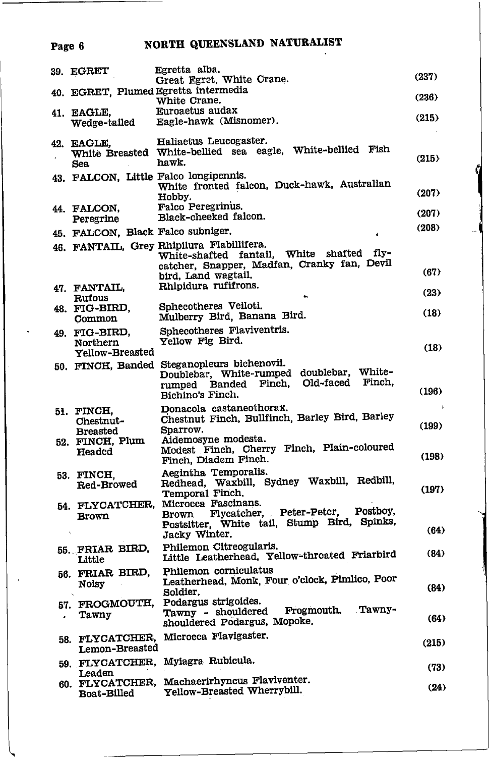# Page 6 NORTH QUEENSLAND NATURALIST

| 39. EGRET                                    | Egretta alba.<br>Great Egret, White Crane.                                                                                                                      | (237)      |
|----------------------------------------------|-----------------------------------------------------------------------------------------------------------------------------------------------------------------|------------|
|                                              | 40. EGRET, Plumed Egretta intermedia<br>White Crane.                                                                                                            | (236)      |
| 41. EAGLE,<br>Wedge-tailed                   | Euroaetus audax<br>Eagle-hawk (Misnomer).                                                                                                                       | (215)      |
| 42. EAGLE,<br>Sea                            | Haliaetus Leucogaster.<br>White Breasted White-bellied sea eagle, White-bellied Fish<br>hawk.                                                                   | (215)      |
|                                              | 43. FALCON, Little Falco longipennis.<br>White fronted falcon, Duck-hawk, Australian<br>Hobby.                                                                  | (207)      |
| 44. FALCON.<br>Peregrine                     | Falco Peregrinus.<br>Black-cheeked falcon.                                                                                                                      | (207)      |
| 45. FALCON, Black Falco subniger.            |                                                                                                                                                                 | (208)      |
|                                              | 46. FANTAIL, Grey Rhipilura Flabillifera.<br>White-shafted fantail, White shafted<br>fly-<br>catcher, Snapper, Madfan, Cranky fan, Devil<br>bird, Land wagtail. | (67)       |
| 47. FANTAIL,<br>Rufous                       | Rhipidura rufifrons.                                                                                                                                            | (23)       |
| 48. FIG-BIRD,<br>Common                      | Sphecotheres Veiloti.<br>Mulberry Bird, Banana Bird.                                                                                                            | (18)       |
| 49. FIG-BIRD,<br>Northern<br>Yellow-Breasted | Sphecotheres Flaviventris.<br>Yellow Fig Bird.                                                                                                                  | (18)       |
|                                              | 50. FINCH, Banded Steganopleurs bichenovii.<br>White-<br>Doublebar, White-rumped doublebar,<br>Finch.<br>Banded Finch, Old-faced<br>rumped<br>Bichino's Finch.  | (196)      |
| 51. FINCH,<br>Chestnut-<br><b>Breasted</b>   | Donacola castaneothorax.<br>Chestnut Finch, Bullfinch, Barley Bird, Barley<br>Sparrow.                                                                          | Å<br>(199) |
| 52. FINCH, Plum<br>Headed                    | Aidemosyne modesta.<br>Modest Finch, Cherry Finch, Plain-coloured<br>Finch, Diadem Finch.                                                                       | (198)      |
| 53. FINCH.<br><b>Red-Browed</b>              | Aegintha Temporalis.<br>Redhead, Waxbill, Sydney Waxbill, Redbill,<br>Temporal Finch.                                                                           | (197)      |
| <b>Brown</b>                                 | 54. FLYCATCHER, Microeca Fascinans.<br>Postboy,<br>Flycatcher, Peter-Peter,<br>Brown<br>Postsitter, White tail, Stump Bird, Spinks,<br>Jacky Winter.            | (64)       |
| 55. FRIAR BIRD,<br>Little                    | Philemon Citreogularis,<br>Little Leatherhead, Yellow-throated Friarbird                                                                                        | (84)       |
| 56. FRIAR BIRD,<br>Noisy                     | Philemon corniculatus<br>Leatherhead, Monk, Four o'clock, Pimlico, Poor<br>Soldier.                                                                             | (84)       |
| 57. FROGMOUTH,<br>Tawny                      | Podargus strigoides.<br>Tawny-<br>Frogmouth,<br>Tawny - shouldered<br>shouldered Podargus, Mopoke.                                                              | (64)       |
| 58. FLYCATCHER,<br>Lemon-Breasted            | Microeca Flavigaster.                                                                                                                                           | (215)      |
| Leaden                                       | 59. FLYCATCHER, Myiagra Rubicula.                                                                                                                               | (73)       |
| 60. FLYCATCHER,<br>Boat-Billed               | Machaerirhyncus Flaviventer.<br>Yellow-Breasted Wherrybill.                                                                                                     | (24)       |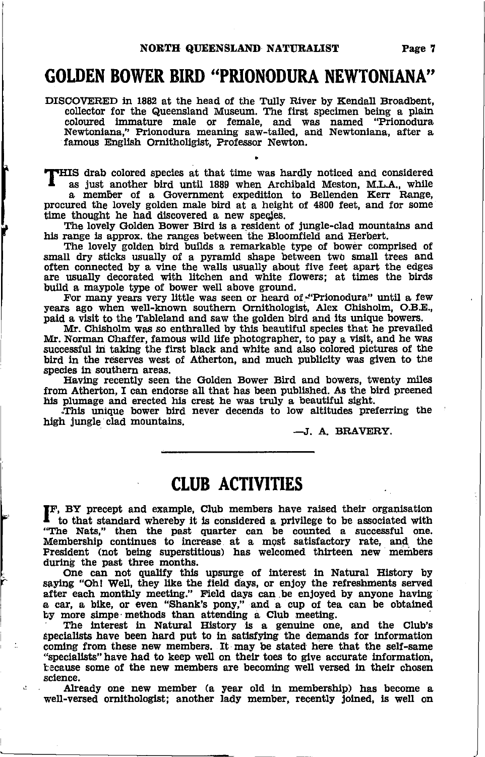#### GOLDEN BOWER BIRD "PRIONODURA NEWTONIANA"

DISCOVERED in 1882 at the head of the Tully River by Kendall Broadbent, collector for the Queensland Museum. The first specimen being a plain coloured lmmature male or female, and was named "Prionodura Newtonlana," Prlonodura meaning saw-taUed, anal Newtonlana, after a famous English Ornitholigist, Professor Newton.

THIS drab colored species at that time was hardly noticed and considered as just another bird until 1889 when Archibald Meston, M.L.A., while a member of a Government expedition to Bellenden Kerr Range,

procured the lovely golden male bird at a height of  $4800$  feet, and for some time thought he had discovered a new species.

The lovely Golden Bower Bird is a resident of jungle-clad mountains and his range is approx. the ranges between the Bloomfield and Herbert.

The lovely golden bird builds a remarkable type of bower comprised of small dry stlcks usually of a pyramid shape between two small trees and often connected by a vine the walls usually about five feet apart the edges are usually decorated with litchen and white flowers; at times the birds build a maypole type of bower well above ground.

For many years very little was seen or heard of."Prionodura" until a few years ago when well-known southern Ornithologist, Alex Chisholm, O.B.E., patd a vlsit to the Tableland and saw the golden bird and lts unique bowers.

Mr. Chisholm was so enthralled by this beautiful species that he prevailed Mr. Norman Chaffer, famous wild life photographer, to pay a visit, and he was successful in taking the first black and white and also colored pictures of the bird in the reserves west of Atherton, and much publicity was given to the species in southern areas.

Eavlng recently seen the Golden Bower Bird and bowers, twenty miles from Atherton, I can endorse all that has been published. As the bird preened his plumage and erected his crest he was truly a beautiful sight.

This unique bower bird never decends to low altitudes preferring the blgh Jungle clad mountains.

-J. A. BRAVERY.

## CIUB ACTIVITIES

FF, BY precept and example, Club members have raised their organisation to that standard whereby it is considered a privilege to be associated with "Ihe Nats," then the past quarter can be counted a successful one."<br>Membership continues to increase at a most satisfactory rate, and the Fresident (not being superstitious) has welcomed thirteen new members during the past three months.

One can not qualify this upsurge of interest in Natural History by saying "Oh! Well, they like the field days, or enjoy the refreshments served after each monthly meeting." Field days can be enjoyed by anyone having a cat, a, blke, or even "Shank's pony," and a cup of tea can be obtalned by more simpe methods than attending a Club meeting.

The lnterest ln Natural Eistory ls a genuine one, and the Club's specialists have been hard put to in satisfying the demands for information coming from these new members. It may be stated here that the self-same "specialists" have had to keep well on their toes to give accurate information, because some of the new members are becoming well versed ln thelr chosen sclence.

Already one new member (a year old in membership) has become a well-versed ornithologist; another lady member, recently joined, is well on